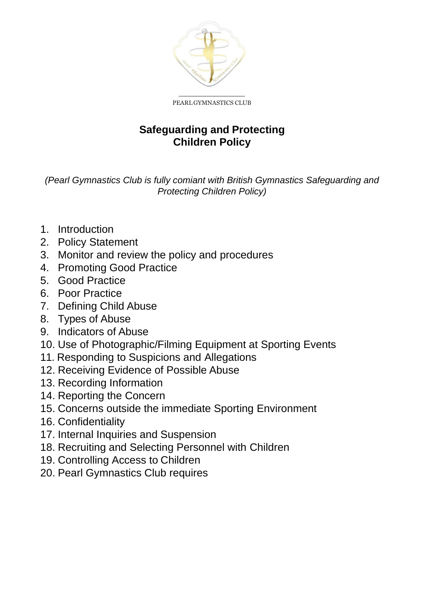

PEARLGYMNASTICS CLUB

## **Safeguarding and Protecting Children Policy**

*(Pearl Gymnastics Club is fully comiant with British Gymnastics Safeguarding and Protecting Children Policy)*

- 1. Introduction
- 2. Policy Statement
- 3. Monitor and review the policy and procedures
- 4. Promoting Good Practice
- 5. Good Practice
- 6. Poor Practice
- 7. Defining Child Abuse
- 8. Types of Abuse
- 9. Indicators of Abuse
- 10. Use of Photographic/Filming Equipment at Sporting Events
- 11. Responding to Suspicions and Allegations
- 12. Receiving Evidence of Possible Abuse
- 13. Recording Information
- 14. Reporting the Concern
- 15. Concerns outside the immediate Sporting Environment
- 16. Confidentiality
- 17. Internal Inquiries and Suspension
- 18. Recruiting and Selecting Personnel with Children
- 19. Controlling Access to Children
- 20. Pearl Gymnastics Club requires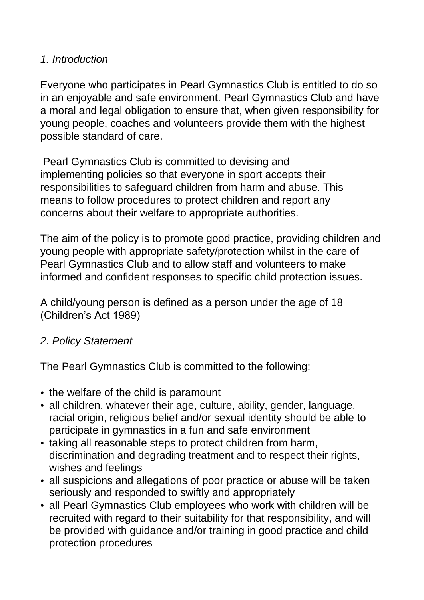### *1. Introduction*

Everyone who participates in Pearl Gymnastics Club is entitled to do so in an enjoyable and safe environment. Pearl Gymnastics Club and have a moral and legal obligation to ensure that, when given responsibility for young people, coaches and volunteers provide them with the highest possible standard of care.

Pearl Gymnastics Club is committed to devising and implementing policies so that everyone in sport accepts their responsibilities to safeguard children from harm and abuse. This means to follow procedures to protect children and report any concerns about their welfare to appropriate authorities.

The aim of the policy is to promote good practice, providing children and young people with appropriate safety/protection whilst in the care of Pearl Gymnastics Club and to allow staff and volunteers to make informed and confident responses to specific child protection issues.

A child/young person is defined as a person under the age of 18 (Children's Act 1989)

## *2. Policy Statement*

The Pearl Gymnastics Club is committed to the following:

- the welfare of the child is paramount
- all children, whatever their age, culture, ability, gender, language, racial origin, religious belief and/or sexual identity should be able to participate in gymnastics in a fun and safe environment
- taking all reasonable steps to protect children from harm, discrimination and degrading treatment and to respect their rights, wishes and feelings
- all suspicions and allegations of poor practice or abuse will be taken seriously and responded to swiftly and appropriately
- all Pearl Gymnastics Club employees who work with children will be recruited with regard to their suitability for that responsibility, and will be provided with guidance and/or training in good practice and child protection procedures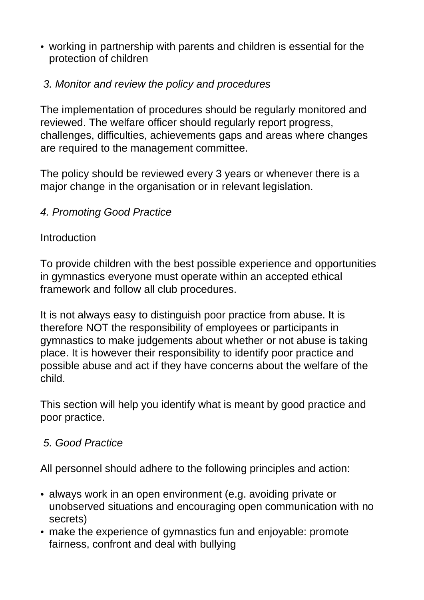• working in partnership with parents and children is essential for the protection of children

## *3. Monitor and review the policy and procedures*

The implementation of procedures should be regularly monitored and reviewed. The welfare officer should regularly report progress, challenges, difficulties, achievements gaps and areas where changes are required to the management committee.

The policy should be reviewed every 3 years or whenever there is a major change in the organisation or in relevant legislation.

### *4. Promoting Good Practice*

### **Introduction**

To provide children with the best possible experience and opportunities in gymnastics everyone must operate within an accepted ethical framework and follow all club procedures.

It is not always easy to distinguish poor practice from abuse. It is therefore NOT the responsibility of employees or participants in gymnastics to make judgements about whether or not abuse is taking place. It is however their responsibility to identify poor practice and possible abuse and act if they have concerns about the welfare of the child.

This section will help you identify what is meant by good practice and poor practice.

## *5. Good Practice*

All personnel should adhere to the following principles and action:

- always work in an open environment (e.g. avoiding private or unobserved situations and encouraging open communication with no secrets)
- make the experience of gymnastics fun and enjoyable: promote fairness, confront and deal with bullying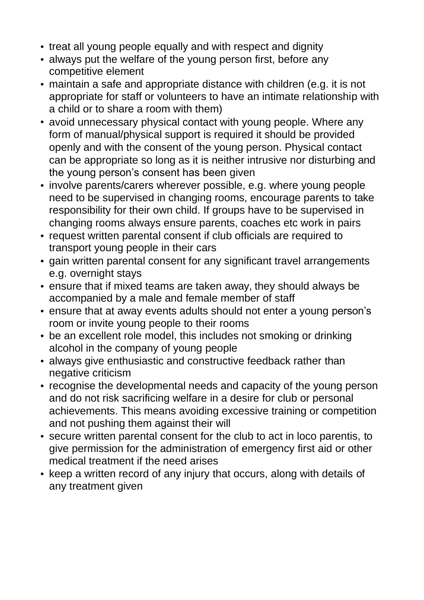- treat all young people equally and with respect and dignity
- always put the welfare of the young person first, before any competitive element
- maintain a safe and appropriate distance with children (e.g. it is not appropriate for staff or volunteers to have an intimate relationship with a child or to share a room with them)
- avoid unnecessary physical contact with young people. Where any form of manual/physical support is required it should be provided openly and with the consent of the young person. Physical contact can be appropriate so long as it is neither intrusive nor disturbing and the young person's consent has been given
- involve parents/carers wherever possible, e.g. where young people need to be supervised in changing rooms, encourage parents to take responsibility for their own child. If groups have to be supervised in changing rooms always ensure parents, coaches etc work in pairs
- request written parental consent if club officials are required to transport young people in their cars
- gain written parental consent for any significant travel arrangements e.g. overnight stays
- ensure that if mixed teams are taken away, they should always be accompanied by a male and female member of staff
- ensure that at away events adults should not enter a young person's room or invite young people to their rooms
- be an excellent role model, this includes not smoking or drinking alcohol in the company of young people
- always give enthusiastic and constructive feedback rather than negative criticism
- recognise the developmental needs and capacity of the young person and do not risk sacrificing welfare in a desire for club or personal achievements. This means avoiding excessive training or competition and not pushing them against their will
- secure written parental consent for the club to act in loco parentis, to give permission for the administration of emergency first aid or other medical treatment if the need arises
- keep a written record of any injury that occurs, along with details of any treatment given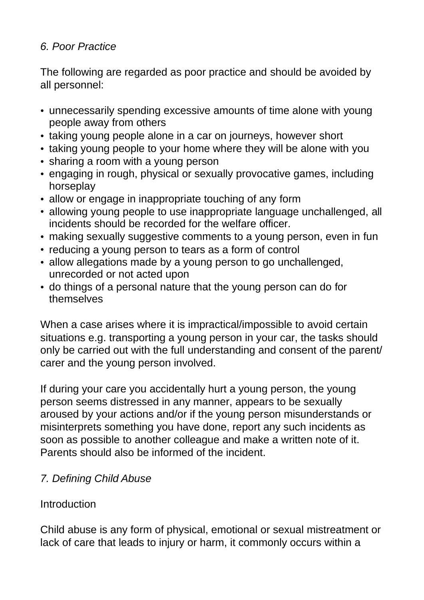## *6. Poor Practice*

The following are regarded as poor practice and should be avoided by all personnel:

- unnecessarily spending excessive amounts of time alone with young people away from others
- taking young people alone in a car on journeys, however short
- taking young people to your home where they will be alone with you
- sharing a room with a young person
- engaging in rough, physical or sexually provocative games, including horseplay
- allow or engage in inappropriate touching of any form
- allowing young people to use inappropriate language unchallenged, all incidents should be recorded for the welfare officer.
- making sexually suggestive comments to a young person, even in fun
- reducing a young person to tears as a form of control
- allow allegations made by a young person to go unchallenged, unrecorded or not acted upon
- do things of a personal nature that the young person can do for themselves

When a case arises where it is impractical/impossible to avoid certain situations e.g. transporting a young person in your car, the tasks should only be carried out with the full understanding and consent of the parent/ carer and the young person involved.

If during your care you accidentally hurt a young person, the young person seems distressed in any manner, appears to be sexually aroused by your actions and/or if the young person misunderstands or misinterprets something you have done, report any such incidents as soon as possible to another colleague and make a written note of it. Parents should also be informed of the incident.

# *7. Defining Child Abuse*

## Introduction

Child abuse is any form of physical, emotional or sexual mistreatment or lack of care that leads to injury or harm, it commonly occurs within a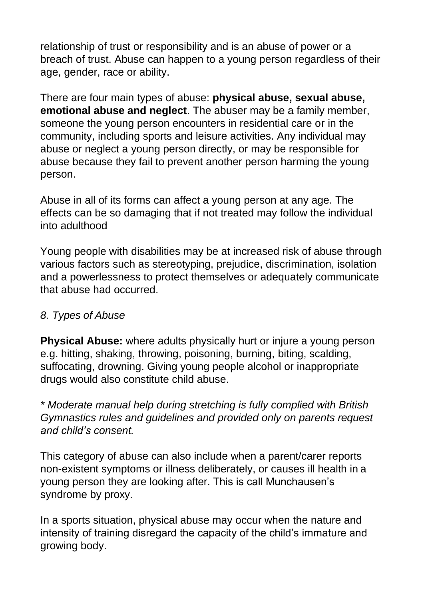relationship of trust or responsibility and is an abuse of power or a breach of trust. Abuse can happen to a young person regardless of their age, gender, race or ability.

There are four main types of abuse: **physical abuse, sexual abuse, emotional abuse and neglect**. The abuser may be a family member, someone the young person encounters in residential care or in the community, including sports and leisure activities. Any individual may abuse or neglect a young person directly, or may be responsible for abuse because they fail to prevent another person harming the young person.

Abuse in all of its forms can affect a young person at any age. The effects can be so damaging that if not treated may follow the individual into adulthood

Young people with disabilities may be at increased risk of abuse through various factors such as stereotyping, prejudice, discrimination, isolation and a powerlessness to protect themselves or adequately communicate that abuse had occurred.

### *8. Types of Abuse*

**Physical Abuse:** where adults physically hurt or injure a young person e.g. hitting, shaking, throwing, poisoning, burning, biting, scalding, suffocating, drowning. Giving young people alcohol or inappropriate drugs would also constitute child abuse.

*\* Moderate manual help during stretching is fully complied with British Gymnastics rules and guidelines and provided only on parents request and child's consent.*

This category of abuse can also include when a parent/carer reports non-existent symptoms or illness deliberately, or causes ill health in a young person they are looking after. This is call Munchausen's syndrome by proxy.

In a sports situation, physical abuse may occur when the nature and intensity of training disregard the capacity of the child's immature and growing body.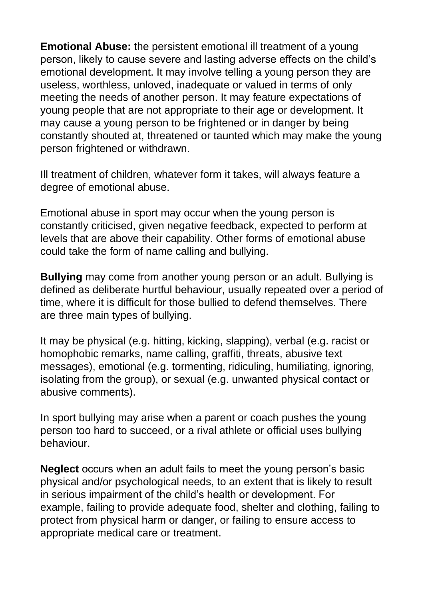**Emotional Abuse:** the persistent emotional ill treatment of a young person, likely to cause severe and lasting adverse effects on the child's emotional development. It may involve telling a young person they are useless, worthless, unloved, inadequate or valued in terms of only meeting the needs of another person. It may feature expectations of young people that are not appropriate to their age or development. It may cause a young person to be frightened or in danger by being constantly shouted at, threatened or taunted which may make the young person frightened or withdrawn.

Ill treatment of children, whatever form it takes, will always feature a degree of emotional abuse.

Emotional abuse in sport may occur when the young person is constantly criticised, given negative feedback, expected to perform at levels that are above their capability. Other forms of emotional abuse could take the form of name calling and bullying.

**Bullying** may come from another young person or an adult. Bullying is defined as deliberate hurtful behaviour, usually repeated over a period of time, where it is difficult for those bullied to defend themselves. There are three main types of bullying.

It may be physical (e.g. hitting, kicking, slapping), verbal (e.g. racist or homophobic remarks, name calling, graffiti, threats, abusive text messages), emotional (e.g. tormenting, ridiculing, humiliating, ignoring, isolating from the group), or sexual (e.g. unwanted physical contact or abusive comments).

In sport bullying may arise when a parent or coach pushes the young person too hard to succeed, or a rival athlete or official uses bullying behaviour.

**Neglect** occurs when an adult fails to meet the young person's basic physical and/or psychological needs, to an extent that is likely to result in serious impairment of the child's health or development. For example, failing to provide adequate food, shelter and clothing, failing to protect from physical harm or danger, or failing to ensure access to appropriate medical care or treatment.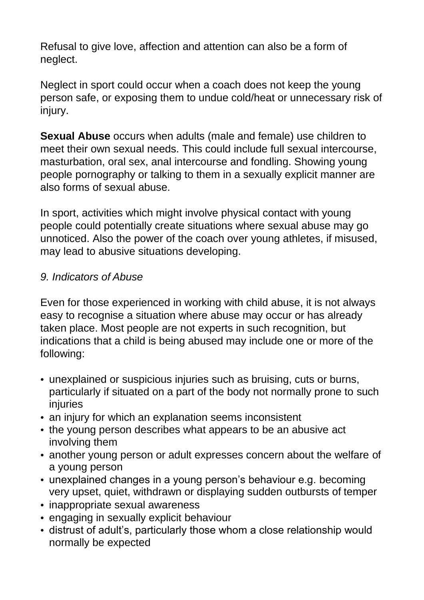Refusal to give love, affection and attention can also be a form of neglect.

Neglect in sport could occur when a coach does not keep the young person safe, or exposing them to undue cold/heat or unnecessary risk of injury.

**Sexual Abuse** occurs when adults (male and female) use children to meet their own sexual needs. This could include full sexual intercourse, masturbation, oral sex, anal intercourse and fondling. Showing young people pornography or talking to them in a sexually explicit manner are also forms of sexual abuse.

In sport, activities which might involve physical contact with young people could potentially create situations where sexual abuse may go unnoticed. Also the power of the coach over young athletes, if misused, may lead to abusive situations developing.

### *9. Indicators of Abuse*

Even for those experienced in working with child abuse, it is not always easy to recognise a situation where abuse may occur or has already taken place. Most people are not experts in such recognition, but indications that a child is being abused may include one or more of the following:

- unexplained or suspicious injuries such as bruising, cuts or burns, particularly if situated on a part of the body not normally prone to such injuries
- an injury for which an explanation seems inconsistent
- the young person describes what appears to be an abusive act involving them
- another young person or adult expresses concern about the welfare of a young person
- unexplained changes in a young person's behaviour e.g. becoming very upset, quiet, withdrawn or displaying sudden outbursts of temper
- inappropriate sexual awareness
- engaging in sexually explicit behaviour
- distrust of adult's, particularly those whom a close relationship would normally be expected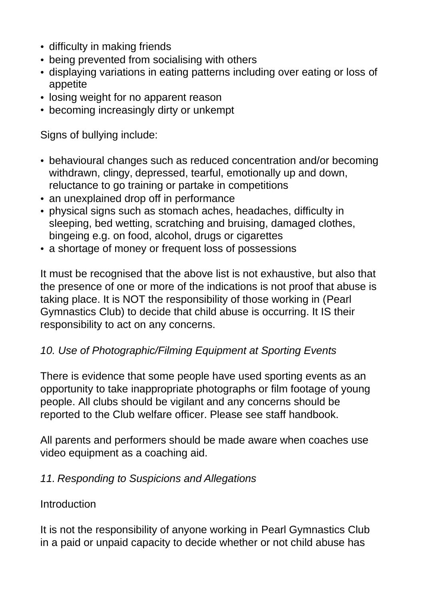- difficulty in making friends
- being prevented from socialising with others
- displaying variations in eating patterns including over eating or loss of appetite
- losing weight for no apparent reason
- becoming increasingly dirty or unkempt

Signs of bullying include:

- behavioural changes such as reduced concentration and/or becoming withdrawn, clingy, depressed, tearful, emotionally up and down, reluctance to go training or partake in competitions
- an unexplained drop off in performance
- physical signs such as stomach aches, headaches, difficulty in sleeping, bed wetting, scratching and bruising, damaged clothes, bingeing e.g. on food, alcohol, drugs or cigarettes
- a shortage of money or frequent loss of possessions

It must be recognised that the above list is not exhaustive, but also that the presence of one or more of the indications is not proof that abuse is taking place. It is NOT the responsibility of those working in (Pearl Gymnastics Club) to decide that child abuse is occurring. It IS their responsibility to act on any concerns.

### *10. Use of Photographic/Filming Equipment at Sporting Events*

There is evidence that some people have used sporting events as an opportunity to take inappropriate photographs or film footage of young people. All clubs should be vigilant and any concerns should be reported to the Club welfare officer. Please see staff handbook.

All parents and performers should be made aware when coaches use video equipment as a coaching aid.

### *11. Responding to Suspicions and Allegations*

#### **Introduction**

It is not the responsibility of anyone working in Pearl Gymnastics Club in a paid or unpaid capacity to decide whether or not child abuse has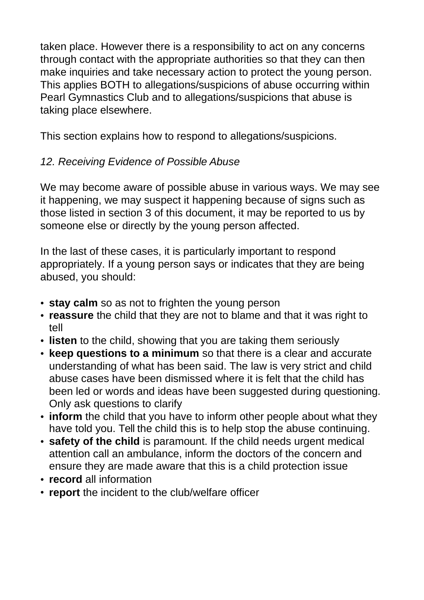taken place. However there is a responsibility to act on any concerns through contact with the appropriate authorities so that they can then make inquiries and take necessary action to protect the young person. This applies BOTH to allegations/suspicions of abuse occurring within Pearl Gymnastics Club and to allegations/suspicions that abuse is taking place elsewhere.

This section explains how to respond to allegations/suspicions.

# *12. Receiving Evidence of Possible Abuse*

We may become aware of possible abuse in various ways. We may see it happening, we may suspect it happening because of signs such as those listed in section 3 of this document, it may be reported to us by someone else or directly by the young person affected.

In the last of these cases, it is particularly important to respond appropriately. If a young person says or indicates that they are being abused, you should:

- **stay calm** so as not to frighten the young person
- **reassure** the child that they are not to blame and that it was right to tell
- **listen** to the child, showing that you are taking them seriously
- **keep questions to a minimum** so that there is a clear and accurate understanding of what has been said. The law is very strict and child abuse cases have been dismissed where it is felt that the child has been led or words and ideas have been suggested during questioning. Only ask questions to clarify
- **inform** the child that you have to inform other people about what they have told you. Tell the child this is to help stop the abuse continuing.
- **safety of the child** is paramount. If the child needs urgent medical attention call an ambulance, inform the doctors of the concern and ensure they are made aware that this is a child protection issue
- **record** all information
- **report** the incident to the club/welfare officer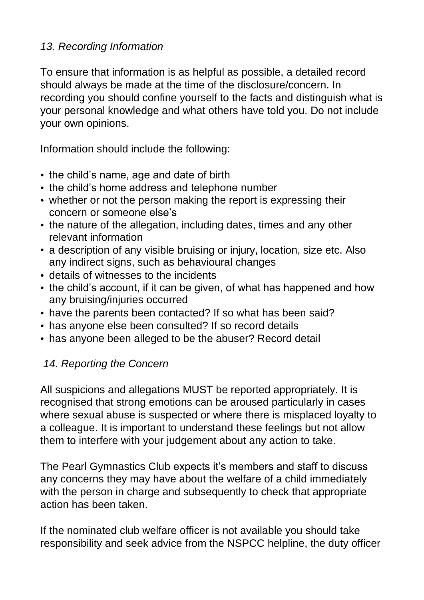### *13. Recording Information*

To ensure that information is as helpful as possible, a detailed record should always be made at the time of the disclosure/concern. In recording you should confine yourself to the facts and distinguish what is your personal knowledge and what others have told you. Do not include your own opinions.

Information should include the following:

- the child's name, age and date of birth
- the child's home address and telephone number
- whether or not the person making the report is expressing their concern or someone else's
- the nature of the allegation, including dates, times and any other relevant information
- a description of any visible bruising or injury, location, size etc. Also any indirect signs, such as behavioural changes
- details of witnesses to the incidents
- the child's account, if it can be given, of what has happened and how any bruising/injuries occurred
- have the parents been contacted? If so what has been said?
- has anyone else been consulted? If so record details
- has anyone been alleged to be the abuser? Record detail

## *14. Reporting the Concern*

All suspicions and allegations MUST be reported appropriately. It is recognised that strong emotions can be aroused particularly in cases where sexual abuse is suspected or where there is misplaced loyalty to a colleague. It is important to understand these feelings but not allow them to interfere with your judgement about any action to take.

The Pearl Gymnastics Club expects it's members and staff to discuss any concerns they may have about the welfare of a child immediately with the person in charge and subsequently to check that appropriate action has been taken.

If the nominated club welfare officer is not available you should take responsibility and seek advice from the NSPCC helpline, the duty officer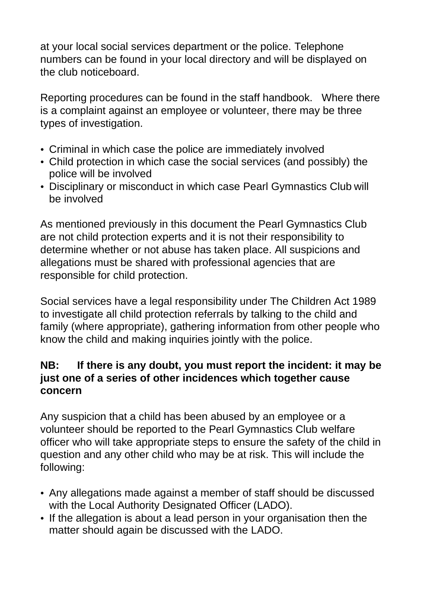at your local social services department or the police. Telephone numbers can be found in your local directory and will be displayed on the club noticeboard.

Reporting procedures can be found in the staff handbook. Where there is a complaint against an employee or volunteer, there may be three types of investigation.

- Criminal in which case the police are immediately involved
- Child protection in which case the social services (and possibly) the police will be involved
- Disciplinary or misconduct in which case Pearl Gymnastics Club will be involved

As mentioned previously in this document the Pearl Gymnastics Club are not child protection experts and it is not their responsibility to determine whether or not abuse has taken place. All suspicions and allegations must be shared with professional agencies that are responsible for child protection.

Social services have a legal responsibility under The Children Act 1989 to investigate all child protection referrals by talking to the child and family (where appropriate), gathering information from other people who know the child and making inquiries jointly with the police.

## **NB: If there is any doubt, you must report the incident: it may be just one of a series of other incidences which together cause concern**

Any suspicion that a child has been abused by an employee or a volunteer should be reported to the Pearl Gymnastics Club welfare officer who will take appropriate steps to ensure the safety of the child in question and any other child who may be at risk. This will include the following:

- Any allegations made against a member of staff should be discussed with the Local Authority Designated Officer (LADO).
- If the allegation is about a lead person in your organisation then the matter should again be discussed with the LADO.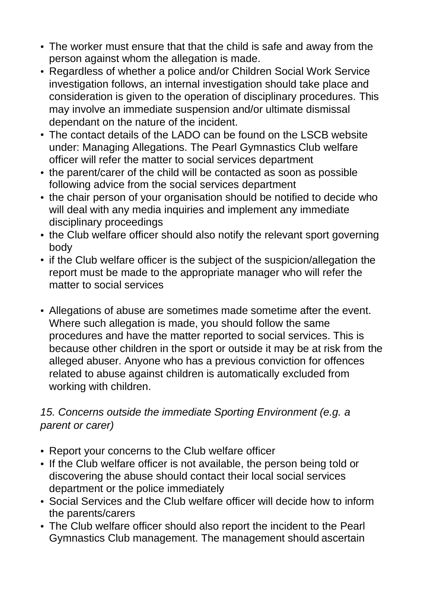- The worker must ensure that that the child is safe and away from the person against whom the allegation is made.
- Regardless of whether a police and/or Children Social Work Service investigation follows, an internal investigation should take place and consideration is given to the operation of disciplinary procedures. This may involve an immediate suspension and/or ultimate dismissal dependant on the nature of the incident.
- The contact details of the LADO can be found on the LSCB website under: Managing Allegations. The Pearl Gymnastics Club welfare officer will refer the matter to social services department
- the parent/carer of the child will be contacted as soon as possible following advice from the social services department
- the chair person of your organisation should be notified to decide who will deal with any media inquiries and implement any immediate disciplinary proceedings
- the Club welfare officer should also notify the relevant sport governing body
- if the Club welfare officer is the subject of the suspicion/allegation the report must be made to the appropriate manager who will refer the matter to social services
- Allegations of abuse are sometimes made sometime after the event. Where such allegation is made, you should follow the same procedures and have the matter reported to social services. This is because other children in the sport or outside it may be at risk from the alleged abuser. Anyone who has a previous conviction for offences related to abuse against children is automatically excluded from working with children.

### *15. Concerns outside the immediate Sporting Environment (e.g. a parent or carer)*

- Report your concerns to the Club welfare officer
- If the Club welfare officer is not available, the person being told or discovering the abuse should contact their local social services department or the police immediately
- Social Services and the Club welfare officer will decide how to inform the parents/carers
- The Club welfare officer should also report the incident to the Pearl Gymnastics Club management. The management should ascertain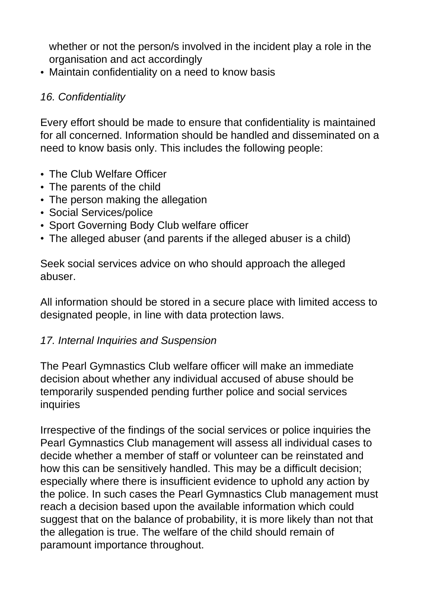whether or not the person/s involved in the incident play a role in the organisation and act accordingly

• Maintain confidentiality on a need to know basis

### *16. Confidentiality*

Every effort should be made to ensure that confidentiality is maintained for all concerned. Information should be handled and disseminated on a need to know basis only. This includes the following people:

- The Club Welfare Officer
- The parents of the child
- The person making the allegation
- Social Services/police
- Sport Governing Body Club welfare officer
- The alleged abuser (and parents if the alleged abuser is a child)

Seek social services advice on who should approach the alleged abuser.

All information should be stored in a secure place with limited access to designated people, in line with data protection laws.

## *17. Internal Inquiries and Suspension*

The Pearl Gymnastics Club welfare officer will make an immediate decision about whether any individual accused of abuse should be temporarily suspended pending further police and social services inquiries

Irrespective of the findings of the social services or police inquiries the Pearl Gymnastics Club management will assess all individual cases to decide whether a member of staff or volunteer can be reinstated and how this can be sensitively handled. This may be a difficult decision; especially where there is insufficient evidence to uphold any action by the police. In such cases the Pearl Gymnastics Club management must reach a decision based upon the available information which could suggest that on the balance of probability, it is more likely than not that the allegation is true. The welfare of the child should remain of paramount importance throughout.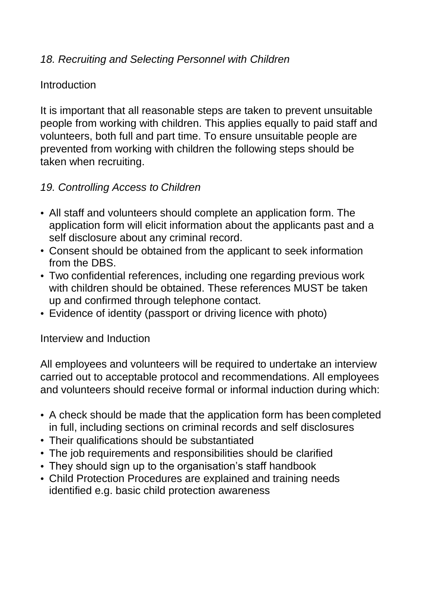### *18. Recruiting and Selecting Personnel with Children*

#### **Introduction**

It is important that all reasonable steps are taken to prevent unsuitable people from working with children. This applies equally to paid staff and volunteers, both full and part time. To ensure unsuitable people are prevented from working with children the following steps should be taken when recruiting.

### *19. Controlling Access to Children*

- All staff and volunteers should complete an application form. The application form will elicit information about the applicants past and a self disclosure about any criminal record.
- Consent should be obtained from the applicant to seek information from the DBS.
- Two confidential references, including one regarding previous work with children should be obtained. These references MUST be taken up and confirmed through telephone contact.
- Evidence of identity (passport or driving licence with photo)

#### Interview and Induction

All employees and volunteers will be required to undertake an interview carried out to acceptable protocol and recommendations. All employees and volunteers should receive formal or informal induction during which:

- A check should be made that the application form has been completed in full, including sections on criminal records and self disclosures
- Their qualifications should be substantiated
- The job requirements and responsibilities should be clarified
- They should sign up to the organisation's staff handbook
- Child Protection Procedures are explained and training needs identified e.g. basic child protection awareness